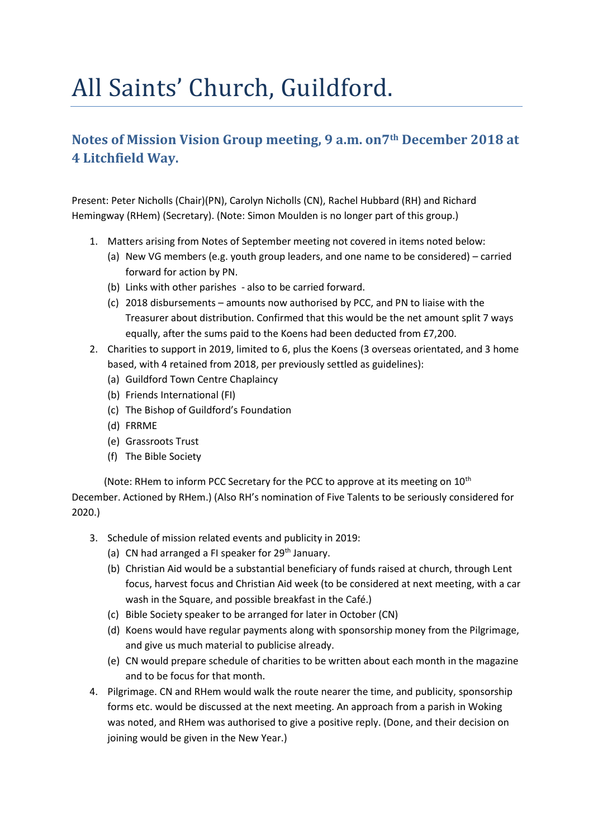## All Saints' Church, Guildford.

## **Notes of Mission Vision Group meeting, 9 a.m. on7th December 2018 at 4 Litchfield Way.**

Present: Peter Nicholls (Chair)(PN), Carolyn Nicholls (CN), Rachel Hubbard (RH) and Richard Hemingway (RHem) (Secretary). (Note: Simon Moulden is no longer part of this group.)

- 1. Matters arising from Notes of September meeting not covered in items noted below:
	- (a) New VG members (e.g. youth group leaders, and one name to be considered) carried forward for action by PN.
	- (b) Links with other parishes also to be carried forward.
	- (c) 2018 disbursements amounts now authorised by PCC, and PN to liaise with the Treasurer about distribution. Confirmed that this would be the net amount split 7 ways equally, after the sums paid to the Koens had been deducted from £7,200.
- 2. Charities to support in 2019, limited to 6, plus the Koens (3 overseas orientated, and 3 home based, with 4 retained from 2018, per previously settled as guidelines):
	- (a) Guildford Town Centre Chaplaincy
	- (b) Friends International (FI)
	- (c) The Bishop of Guildford's Foundation
	- (d) FRRME
	- (e) Grassroots Trust
	- (f) The Bible Society

(Note: RHem to inform PCC Secretary for the PCC to approve at its meeting on  $10^{th}$ December. Actioned by RHem.) (Also RH's nomination of Five Talents to be seriously considered for 2020.)

- 3. Schedule of mission related events and publicity in 2019:
	- (a) CN had arranged a FI speaker for  $29<sup>th</sup>$  January.
	- (b) Christian Aid would be a substantial beneficiary of funds raised at church, through Lent focus, harvest focus and Christian Aid week (to be considered at next meeting, with a car wash in the Square, and possible breakfast in the Café.)
	- (c) Bible Society speaker to be arranged for later in October (CN)
	- (d) Koens would have regular payments along with sponsorship money from the Pilgrimage, and give us much material to publicise already.
	- (e) CN would prepare schedule of charities to be written about each month in the magazine and to be focus for that month.
- 4. Pilgrimage. CN and RHem would walk the route nearer the time, and publicity, sponsorship forms etc. would be discussed at the next meeting. An approach from a parish in Woking was noted, and RHem was authorised to give a positive reply. (Done, and their decision on joining would be given in the New Year.)